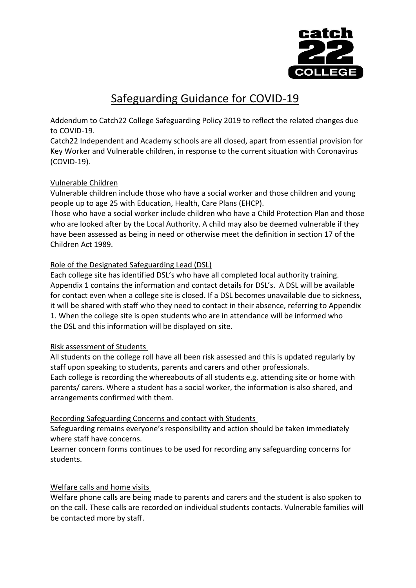

# Safeguarding Guidance for COVID-19

Addendum to Catch22 College Safeguarding Policy 2019 to reflect the related changes due to COVID-19.  

Catch22 Independent and Academy schools are all closed, apart from essential provision for Key Worker and Vulnerable children, in response to the current situation with Coronavirus (COVID-19).  

## Vulnerable Children

Vulnerable children include those who have a social worker and those children and young people up to age 25 with Education, Health, Care Plans (EHCP).  

Those who have a social worker include children who have a Child Protection Plan and those who are looked after by the Local Authority. A child may also be deemed vulnerable if they have been assessed as being in need or otherwise meet the definition in section 17 of the Children Act 1989.  

#### Role of the Designated Safeguarding Lead (DSL)

Each college site has identified DSL's who have all completed local authority training. Appendix 1 contains the information and contact details for DSL's.  A DSL will be available for contact even when a college site is closed. If a DSL becomes unavailable due to sickness, it will be shared with staff who they need to contact in their absence, referring to Appendix 1. When the college site is open students who are in attendance will be informed who the DSL and this information will be displayed on site.  

#### Risk assessment of Students

All students on the college roll have all been risk assessed and this is updated regularly by staff upon speaking to students, parents and carers and other professionals.   Each college is recording the whereabouts of all students e.g. attending site or home with parents/ carers. Where a student has a social worker, the information is also shared, and arrangements confirmed with them.  

#### Recording Safeguarding Concerns and contact with Students

Safeguarding remains everyone's responsibility and action should be taken immediately where staff have concerns.  

Learner concern forms continues to be used for recording any safeguarding concerns for students.  

#### Welfare calls and home visits

Welfare phone calls are being made to parents and carers and the student is also spoken to on the call. These calls are recorded on individual students contacts. Vulnerable families will be contacted more by staff.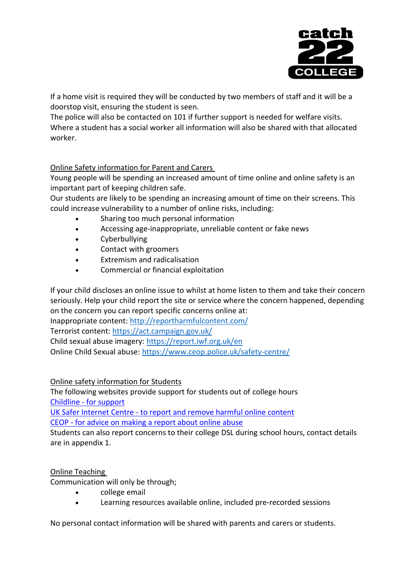

If a home visit is required they will be conducted by two members of staff and it will be a doorstop visit, ensuring the student is seen. 

The police will also be contacted on 101 if further support is needed for welfare visits.   Where a student has a social worker all information will also be shared with that allocated worker.

Online Safety information for Parent and Carers 

Young people will be spending an increased amount of time online and online safety is an important part of keeping children safe. 

Our students are likely to be spending an increasing amount of time on their screens. This could increase vulnerability to a number of online risks, including: 

- Sharing too much personal information
- Accessing age-inappropriate, unreliable content or fake news
- Cyberbullying
- Contact with groomers
- Extremism and radicalisation
- Commercial or financial exploitation

If your child discloses an online issue to whilst at home listen to them and take their concern seriously. Help your child report the site or service where the concern happened, depending on the concern you can report specific concerns online at: 

Inappropriate content: <http://reportharmfulcontent.com/>  

Terrorist content: <https://act.campaign.gov.uk/>  

Child sexual abuse imagery: <https://report.iwf.org.uk/en>

Online Child Sexual abuse: <https://www.ceop.police.uk/safety-centre/>  

Online safety information for Students  

The following websites provide support for students out of college hours   [Childline](https://www.childline.org.uk/?utm_source=google&utm_medium=cpc&utm_campaign=UK_GO_S_B_BND_Grant_Childline_Information&utm_term=role_of_childline&gclsrc=aw.ds&&gclid=EAIaIQobChMIlfLRh-ez6AIVRrDtCh1N9QR2EAAYASAAEgLc-vD_BwE&gclsrc=aw.ds) - for support

[UK Safer Internet Centre](https://reportharmfulcontent.com/) - to report and remove harmful online content [CEOP](https://www.ceop.police.uk/safety-centre/) - for advice on making a report about online abuse

Students can also report concerns to their college DSL during school hours, contact details are in appendix 1.  

#### Online Teaching

Communication will only be through;  

- college email
- Learning resources available online, included pre-recorded sessions

No personal contact information will be shared with parents and carers or students.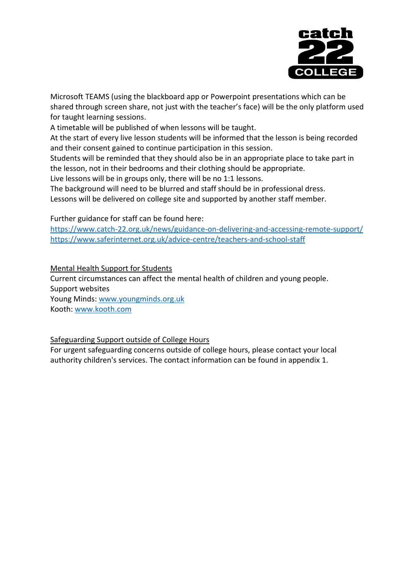

Microsoft TEAMS (using the blackboard app or Powerpoint presentations which can be shared through screen share, not just with the teacher's face) will be the only platform used for taught learning sessions.

A timetable will be published of when lessons will be taught.  

At the start of every live lesson students will be informed that the lesson is being recorded and their consent gained to continue participation in this session.  

Students will be reminded that they should also be in an appropriate place to take part in the lesson, not in their bedrooms and their clothing should be appropriate.  

Live lessons will be in groups only, there will be no 1:1 lessons.  

The background will need to be blurred and staff should be in professional dress.   Lessons will be delivered on college site and supported by another staff member.  

## Further guidance for staff can be found here:

<https://www.catch-22.org.uk/news/guidance-on-delivering-and-accessing-remote-support/> <https://www.saferinternet.org.uk/advice-centre/teachers-and-school-staff>

Mental Health Support for Students

Current circumstances can affect the mental health of children and young people. Support websites Young Minds: [www.youngminds.org.uk](http://www.youngminds.org.uk/) Kooth: [www.kooth.com](http://www.kooth.com/)

Safeguarding Support outside of College Hours  

For urgent safeguarding concerns outside of college hours, please contact your local authority children's services. The contact information can be found in appendix 1.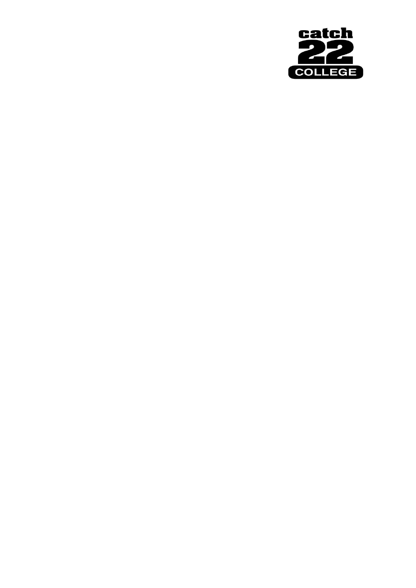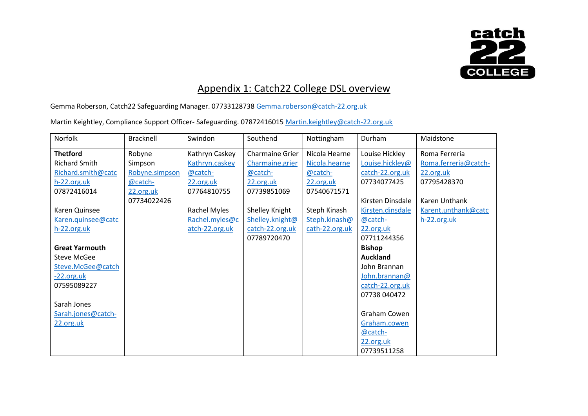

# Appendix 1: Catch22 College DSL overview

Gemma Roberson, Catch22 Safeguarding Manager. 07733128738 [Gemma.roberson@catch-22.org.uk](mailto:Gemma.roberson@catch-22.org.uk)

Martin Keightley, Compliance Support Officer- Safeguarding. 0787241601[5 Martin.keightley@catch-22.org.uk](mailto:Martin.keightley@catch-22.org.uk)

| Norfolk               | <b>Bracknell</b> | Swindon        | Southend               | Nottingham     | Durham           | Maidstone            |
|-----------------------|------------------|----------------|------------------------|----------------|------------------|----------------------|
| <b>Thetford</b>       | Robyne           | Kathryn Caskey | <b>Charmaine Grier</b> | Nicola Hearne  | Louise Hickley   | Roma Ferreria        |
| <b>Richard Smith</b>  | Simpson          | Kathryn.caskey | Charmaine.grier        | Nicola.hearne  | Louise.hickley@  | Roma.ferreria@catch- |
| Richard.smith@catc    | Robyne.simpson   | @catch-        | @catch-                | @catch-        | catch-22.org.uk  | 22.org.uk            |
| $h-22.org.uk$         | @catch-          | 22.org.uk      | 22.org.uk              | 22.org.uk      | 07734077425      | 07795428370          |
| 07872416014           | 22.org.uk        | 07764810755    | 07739851069            | 07540671571    |                  |                      |
|                       | 07734022426      |                |                        |                | Kirsten Dinsdale | Karen Unthank        |
| Karen Quinsee         |                  | Rachel Myles   | Shelley Knight         | Steph Kinash   | Kirsten.dinsdale | Karent.unthank@catc  |
| Karen.quinsee@catc    |                  | Rachel.myles@c | Shelley.knight@        | Steph.kinash@  | @catch-          | h-22.org.uk          |
| $h-22.org.uk$         |                  | atch-22.org.uk | catch-22.org.uk        | cath-22.org.uk | 22.org.uk        |                      |
|                       |                  |                | 07789720470            |                | 07711244356      |                      |
| <b>Great Yarmouth</b> |                  |                |                        |                | <b>Bishop</b>    |                      |
| Steve McGee           |                  |                |                        |                | <b>Auckland</b>  |                      |
| Steve.McGee@catch     |                  |                |                        |                | John Brannan     |                      |
| $-22.org.uk$          |                  |                |                        |                | John.brannan@    |                      |
| 07595089227           |                  |                |                        |                | catch-22.org.uk  |                      |
|                       |                  |                |                        |                | 07738 040472     |                      |
| Sarah Jones           |                  |                |                        |                |                  |                      |
| Sarah.jones@catch-    |                  |                |                        |                | Graham Cowen     |                      |
| 22.org.uk             |                  |                |                        |                | Graham.cowen     |                      |
|                       |                  |                |                        |                | @catch-          |                      |
|                       |                  |                |                        |                | 22.org.uk        |                      |
|                       |                  |                |                        |                | 07739511258      |                      |